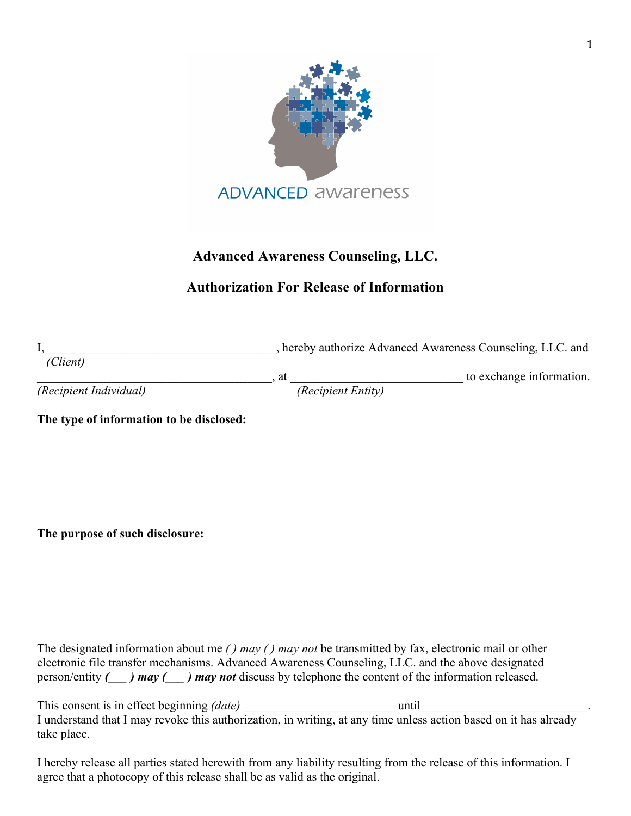

## **Advanced Awareness Counseling, LLC.**

## **Authorization For Release of Information**

|                        |                    | hereby authorize Advanced Awareness Counseling, LLC. and |
|------------------------|--------------------|----------------------------------------------------------|
| (Client)               |                    |                                                          |
|                        |                    | to exchange information.                                 |
| (Recipient Individual) | (Recipient Entity) |                                                          |

**The type of information to be disclosed:** 

**The purpose of such disclosure:** 

The designated information about me *( ) may ( ) may not* be transmitted by fax, electronic mail or other electronic file transfer mechanisms. Advanced Awareness Counseling, LLC. and the above designated person/entity *(\_\_\_ ) may (\_\_\_ ) may not* discuss by telephone the content of the information released.

This consent is in effect beginning *(date)* until I understand that I may revoke this authorization, in writing, at any time unless action based on it has already take place.

I hereby release all parties stated herewith from any liability resulting from the release of this information. I agree that a photocopy of this release shall be as valid as the original.